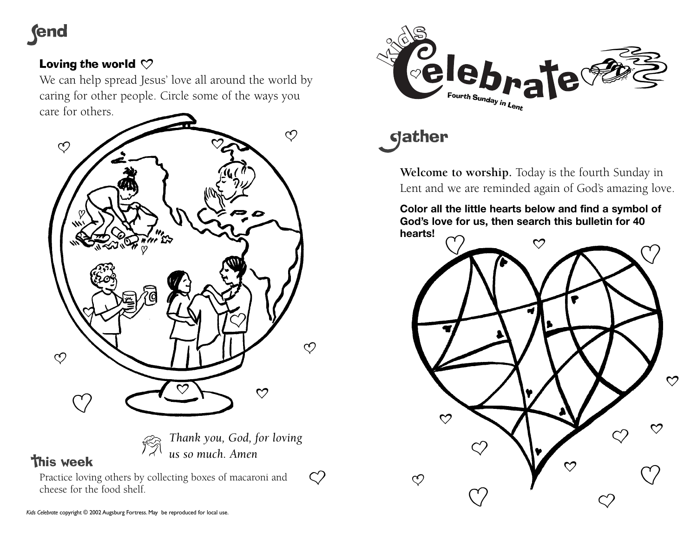## **fend**

### Loving the world  $\heartsuit$

We can help spread Jesus' love all around the world by caring for other people. Circle some of the ways you care for others.



**This week** 

*Thank you, God, for loving us so much. Amen*

 $\bigcirc$ 

Practice loving others by collecting boxes of macaroni and cheese for the food shelf.



# **gather**

**Welcome to worship.** Today is the fourth Sunday in Lent and we are reminded again of God's amazing love.

**Color all the little hearts below and find a symbol of God's love for us, then search this bulletin for 40 hearts!**